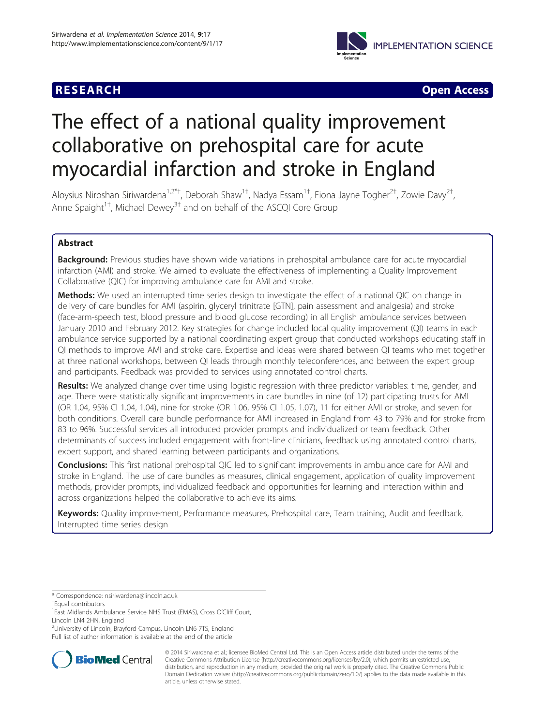# **RESEARCH CHEAR CHEAR CHEAR CHEAR CHEAR CHEAR CHEAR CHEAR CHEAR CHEAR CHEAR CHEAR CHEAR CHEAR CHEAR CHEAR CHEAR**



# The effect of a national quality improvement collaborative on prehospital care for acute myocardial infarction and stroke in England

Aloysius Niroshan Siriwardena<sup>1,2\*†</sup>, Deborah Shaw<sup>1†</sup>, Nadya Essam<sup>1†</sup>, Fiona Jayne Togher<sup>2†</sup>, Zowie Davy<sup>2†</sup> , Anne Spaight<sup>1†</sup>, Michael Dewey<sup>3†</sup> and on behalf of the ASCQI Core Group

# Abstract

Background: Previous studies have shown wide variations in prehospital ambulance care for acute myocardial infarction (AMI) and stroke. We aimed to evaluate the effectiveness of implementing a Quality Improvement Collaborative (QIC) for improving ambulance care for AMI and stroke.

Methods: We used an interrupted time series design to investigate the effect of a national QIC on change in delivery of care bundles for AMI (aspirin, glyceryl trinitrate [GTN], pain assessment and analgesia) and stroke (face-arm-speech test, blood pressure and blood glucose recording) in all English ambulance services between January 2010 and February 2012. Key strategies for change included local quality improvement (QI) teams in each ambulance service supported by a national coordinating expert group that conducted workshops educating staff in QI methods to improve AMI and stroke care. Expertise and ideas were shared between QI teams who met together at three national workshops, between QI leads through monthly teleconferences, and between the expert group and participants. Feedback was provided to services using annotated control charts.

Results: We analyzed change over time using logistic regression with three predictor variables: time, gender, and age. There were statistically significant improvements in care bundles in nine (of 12) participating trusts for AMI (OR 1.04, 95% CI 1.04, 1.04), nine for stroke (OR 1.06, 95% CI 1.05, 1.07), 11 for either AMI or stroke, and seven for both conditions. Overall care bundle performance for AMI increased in England from 43 to 79% and for stroke from 83 to 96%. Successful services all introduced provider prompts and individualized or team feedback. Other determinants of success included engagement with front-line clinicians, feedback using annotated control charts, expert support, and shared learning between participants and organizations.

Conclusions: This first national prehospital QIC led to significant improvements in ambulance care for AMI and stroke in England. The use of care bundles as measures, clinical engagement, application of quality improvement methods, provider prompts, individualized feedback and opportunities for learning and interaction within and across organizations helped the collaborative to achieve its aims.

Keywords: Quality improvement, Performance measures, Prehospital care, Team training, Audit and feedback, Interrupted time series design

Full list of author information is available at the end of the article



© 2014 Siriwardena et al.; licensee BioMed Central Ltd. This is an Open Access article distributed under the terms of the Creative Commons Attribution License (<http://creativecommons.org/licenses/by/2.0>), which permits unrestricted use, distribution, and reproduction in any medium, provided the original work is properly cited. The Creative Commons Public Domain Dedication waiver [\(http://creativecommons.org/publicdomain/zero/1.0/\)](http://creativecommons.org/publicdomain/zero/1.0/) applies to the data made available in this article, unless otherwise stated.

<sup>\*</sup> Correspondence: [nsiriwardena@lincoln.ac.uk](mailto:nsiriwardena@lincoln.ac.uk) †

Equal contributors

<sup>&</sup>lt;sup>1</sup> East Midlands Ambulance Service NHS Trust (EMAS), Cross O'Cliff Court, Lincoln LN4 2HN, England

<sup>2</sup> University of Lincoln, Brayford Campus, Lincoln LN6 7TS, England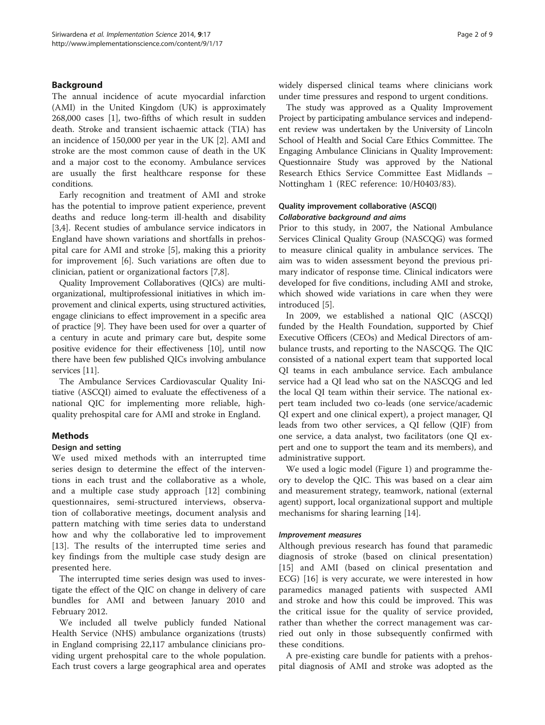# Background

The annual incidence of acute myocardial infarction (AMI) in the United Kingdom (UK) is approximately 268,000 cases [\[1](#page-7-0)], two-fifths of which result in sudden death. Stroke and transient ischaemic attack (TIA) has an incidence of 150,000 per year in the UK [[2\]](#page-7-0). AMI and stroke are the most common cause of death in the UK and a major cost to the economy. Ambulance services are usually the first healthcare response for these conditions.

Early recognition and treatment of AMI and stroke has the potential to improve patient experience, prevent deaths and reduce long-term ill-health and disability [[3,4\]](#page-7-0). Recent studies of ambulance service indicators in England have shown variations and shortfalls in prehospital care for AMI and stroke [[5\]](#page-7-0), making this a priority for improvement [[6\]](#page-7-0). Such variations are often due to clinician, patient or organizational factors [\[7,8](#page-7-0)].

Quality Improvement Collaboratives (QICs) are multiorganizational, multiprofessional initiatives in which improvement and clinical experts, using structured activities, engage clinicians to effect improvement in a specific area of practice [[9](#page-7-0)]. They have been used for over a quarter of a century in acute and primary care but, despite some positive evidence for their effectiveness [\[10\]](#page-7-0), until now there have been few published QICs involving ambulance services [\[11](#page-7-0)].

The Ambulance Services Cardiovascular Quality Initiative (ASCQI) aimed to evaluate the effectiveness of a national QIC for implementing more reliable, highquality prehospital care for AMI and stroke in England.

# Methods

# Design and setting

We used mixed methods with an interrupted time series design to determine the effect of the interventions in each trust and the collaborative as a whole, and a multiple case study approach [\[12](#page-7-0)] combining questionnaires, semi-structured interviews, observation of collaborative meetings, document analysis and pattern matching with time series data to understand how and why the collaborative led to improvement [[13\]](#page-8-0). The results of the interrupted time series and key findings from the multiple case study design are presented here.

The interrupted time series design was used to investigate the effect of the QIC on change in delivery of care bundles for AMI and between January 2010 and February 2012.

We included all twelve publicly funded National Health Service (NHS) ambulance organizations (trusts) in England comprising 22,117 ambulance clinicians providing urgent prehospital care to the whole population. Each trust covers a large geographical area and operates widely dispersed clinical teams where clinicians work under time pressures and respond to urgent conditions.

The study was approved as a Quality Improvement Project by participating ambulance services and independent review was undertaken by the University of Lincoln School of Health and Social Care Ethics Committee. The Engaging Ambulance Clinicians in Quality Improvement: Questionnaire Study was approved by the National Research Ethics Service Committee East Midlands – Nottingham 1 (REC reference: 10/H0403/83).

# Quality improvement collaborative (ASCQI) Collaborative background and aims

Prior to this study, in 2007, the National Ambulance Services Clinical Quality Group (NASCQG) was formed to measure clinical quality in ambulance services. The aim was to widen assessment beyond the previous primary indicator of response time. Clinical indicators were developed for five conditions, including AMI and stroke, which showed wide variations in care when they were introduced [\[5](#page-7-0)].

In 2009, we established a national QIC (ASCQI) funded by the Health Foundation, supported by Chief Executive Officers (CEOs) and Medical Directors of ambulance trusts, and reporting to the NASCQG. The QIC consisted of a national expert team that supported local QI teams in each ambulance service. Each ambulance service had a QI lead who sat on the NASCQG and led the local QI team within their service. The national expert team included two co-leads (one service/academic QI expert and one clinical expert), a project manager, QI leads from two other services, a QI fellow (QIF) from one service, a data analyst, two facilitators (one QI expert and one to support the team and its members), and administrative support.

We used a logic model (Figure [1](#page-2-0)) and programme theory to develop the QIC. This was based on a clear aim and measurement strategy, teamwork, national (external agent) support, local organizational support and multiple mechanisms for sharing learning [[14\]](#page-8-0).

#### Improvement measures

Although previous research has found that paramedic diagnosis of stroke (based on clinical presentation) [[15\]](#page-8-0) and AMI (based on clinical presentation and ECG) [[16\]](#page-8-0) is very accurate, we were interested in how paramedics managed patients with suspected AMI and stroke and how this could be improved. This was the critical issue for the quality of service provided, rather than whether the correct management was carried out only in those subsequently confirmed with these conditions.

A pre-existing care bundle for patients with a prehospital diagnosis of AMI and stroke was adopted as the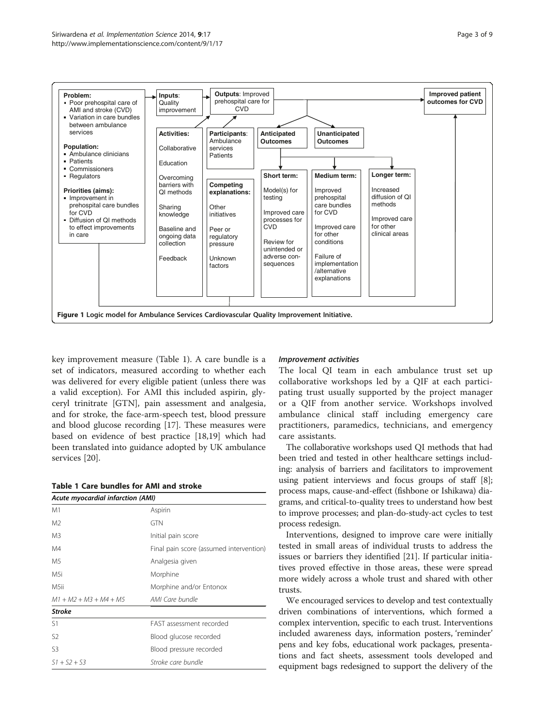<span id="page-2-0"></span>

key improvement measure (Table 1). A care bundle is a set of indicators, measured according to whether each was delivered for every eligible patient (unless there was a valid exception). For AMI this included aspirin, glyceryl trinitrate [GTN], pain assessment and analgesia, and for stroke, the face-arm-speech test, blood pressure and blood glucose recording [\[17](#page-8-0)]. These measures were based on evidence of best practice [\[18,19\]](#page-8-0) which had been translated into guidance adopted by UK ambulance services [[20](#page-8-0)].

#### Table 1 Care bundles for AMI and stroke

| Acute myocardial infarction (AMI) |                                         |  |  |  |  |
|-----------------------------------|-----------------------------------------|--|--|--|--|
| M1                                | Aspirin                                 |  |  |  |  |
| M <sub>2</sub>                    | <b>GTN</b>                              |  |  |  |  |
| M3                                | Initial pain score                      |  |  |  |  |
| M4                                | Final pain score (assumed intervention) |  |  |  |  |
| M5                                | Analgesia given                         |  |  |  |  |
| M5i                               | Morphine                                |  |  |  |  |
| M5ii                              | Morphine and/or Entonox                 |  |  |  |  |
| $M1 + M2 + M3 + M4 + M5$          | AMI Care bundle                         |  |  |  |  |
| <b>Stroke</b>                     |                                         |  |  |  |  |
| S1                                | FAST assessment recorded                |  |  |  |  |
| S2                                | Blood glucose recorded                  |  |  |  |  |
| S <sub>3</sub>                    | Blood pressure recorded                 |  |  |  |  |
| $S1 + S2 + S3$                    | Stroke care bundle                      |  |  |  |  |

#### Improvement activities

The local QI team in each ambulance trust set up collaborative workshops led by a QIF at each participating trust usually supported by the project manager or a QIF from another service. Workshops involved ambulance clinical staff including emergency care practitioners, paramedics, technicians, and emergency care assistants.

The collaborative workshops used QI methods that had been tried and tested in other healthcare settings including: analysis of barriers and facilitators to improvement using patient interviews and focus groups of staff [[8](#page-7-0)]; process maps, cause-and-effect (fishbone or Ishikawa) diagrams, and critical-to-quality trees to understand how best to improve processes; and plan-do-study-act cycles to test process redesign.

Interventions, designed to improve care were initially tested in small areas of individual trusts to address the issues or barriers they identified [[21\]](#page-8-0). If particular initiatives proved effective in those areas, these were spread more widely across a whole trust and shared with other trusts.

We encouraged services to develop and test contextually driven combinations of interventions, which formed a complex intervention, specific to each trust. Interventions included awareness days, information posters, 'reminder' pens and key fobs, educational work packages, presentations and fact sheets, assessment tools developed and equipment bags redesigned to support the delivery of the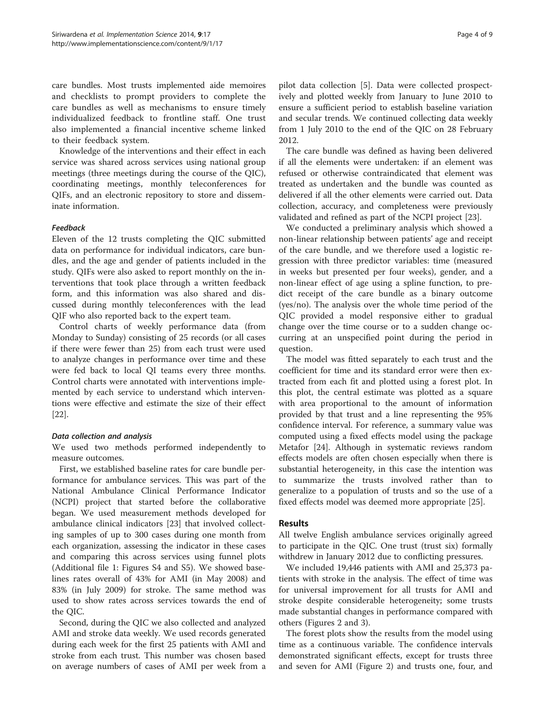care bundles. Most trusts implemented aide memoires and checklists to prompt providers to complete the care bundles as well as mechanisms to ensure timely individualized feedback to frontline staff. One trust also implemented a financial incentive scheme linked to their feedback system.

Knowledge of the interventions and their effect in each service was shared across services using national group meetings (three meetings during the course of the QIC), coordinating meetings, monthly teleconferences for QIFs, and an electronic repository to store and disseminate information.

#### Feedback

Eleven of the 12 trusts completing the QIC submitted data on performance for individual indicators, care bundles, and the age and gender of patients included in the study. QIFs were also asked to report monthly on the interventions that took place through a written feedback form, and this information was also shared and discussed during monthly teleconferences with the lead QIF who also reported back to the expert team.

Control charts of weekly performance data (from Monday to Sunday) consisting of 25 records (or all cases if there were fewer than 25) from each trust were used to analyze changes in performance over time and these were fed back to local QI teams every three months. Control charts were annotated with interventions implemented by each service to understand which interventions were effective and estimate the size of their effect [[22\]](#page-8-0).

#### Data collection and analysis

We used two methods performed independently to measure outcomes.

First, we established baseline rates for care bundle performance for ambulance services. This was part of the National Ambulance Clinical Performance Indicator (NCPI) project that started before the collaborative began. We used measurement methods developed for ambulance clinical indicators [\[23\]](#page-8-0) that involved collecting samples of up to 300 cases during one month from each organization, assessing the indicator in these cases and comparing this across services using funnel plots (Additional file [1](#page-7-0): Figures S4 and S5). We showed baselines rates overall of 43% for AMI (in May 2008) and 83% (in July 2009) for stroke. The same method was used to show rates across services towards the end of the QIC.

Second, during the QIC we also collected and analyzed AMI and stroke data weekly. We used records generated during each week for the first 25 patients with AMI and stroke from each trust. This number was chosen based on average numbers of cases of AMI per week from a

pilot data collection [\[5\]](#page-7-0). Data were collected prospectively and plotted weekly from January to June 2010 to ensure a sufficient period to establish baseline variation and secular trends. We continued collecting data weekly from 1 July 2010 to the end of the QIC on 28 February 2012.

The care bundle was defined as having been delivered if all the elements were undertaken: if an element was refused or otherwise contraindicated that element was treated as undertaken and the bundle was counted as delivered if all the other elements were carried out. Data collection, accuracy, and completeness were previously validated and refined as part of the NCPI project [\[23](#page-8-0)].

We conducted a preliminary analysis which showed a non-linear relationship between patients' age and receipt of the care bundle, and we therefore used a logistic regression with three predictor variables: time (measured in weeks but presented per four weeks), gender, and a non-linear effect of age using a spline function, to predict receipt of the care bundle as a binary outcome (yes/no). The analysis over the whole time period of the QIC provided a model responsive either to gradual change over the time course or to a sudden change occurring at an unspecified point during the period in question.

The model was fitted separately to each trust and the coefficient for time and its standard error were then extracted from each fit and plotted using a forest plot. In this plot, the central estimate was plotted as a square with area proportional to the amount of information provided by that trust and a line representing the 95% confidence interval. For reference, a summary value was computed using a fixed effects model using the package Metafor [[24\]](#page-8-0). Although in systematic reviews random effects models are often chosen especially when there is substantial heterogeneity, in this case the intention was to summarize the trusts involved rather than to generalize to a population of trusts and so the use of a fixed effects model was deemed more appropriate [\[25](#page-8-0)].

# Results

All twelve English ambulance services originally agreed to participate in the QIC. One trust (trust six) formally withdrew in January 2012 due to conflicting pressures.

We included 19,446 patients with AMI and 25,373 patients with stroke in the analysis. The effect of time was for universal improvement for all trusts for AMI and stroke despite considerable heterogeneity; some trusts made substantial changes in performance compared with others (Figures [2](#page-4-0) and [3\)](#page-4-0).

The forest plots show the results from the model using time as a continuous variable. The confidence intervals demonstrated significant effects, except for trusts three and seven for AMI (Figure [2](#page-4-0)) and trusts one, four, and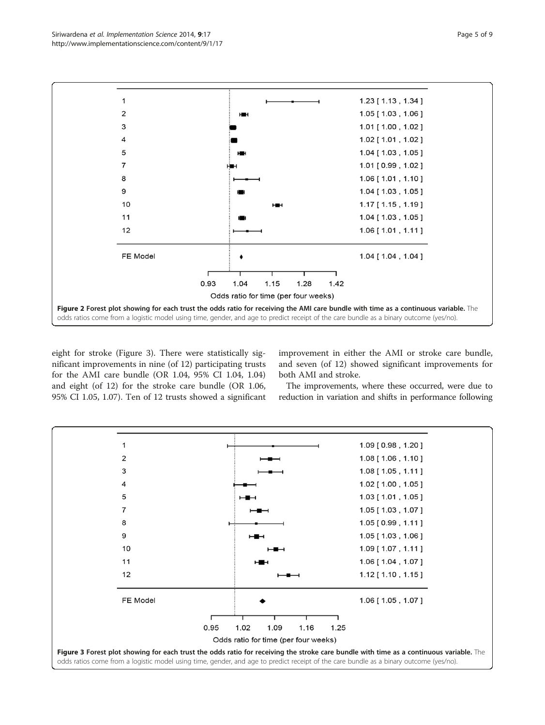<span id="page-4-0"></span>

eight for stroke (Figure 3). There were statistically significant improvements in nine (of 12) participating trusts for the AMI care bundle (OR 1.04, 95% CI 1.04, 1.04) and eight (of 12) for the stroke care bundle (OR 1.06, 95% CI 1.05, 1.07). Ten of 12 trusts showed a significant improvement in either the AMI or stroke care bundle, and seven (of 12) showed significant improvements for both AMI and stroke.

The improvements, where these occurred, were due to reduction in variation and shifts in performance following

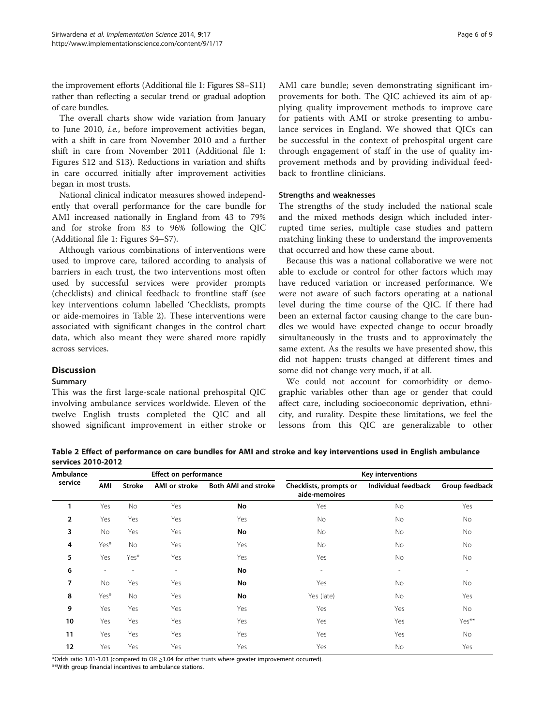the improvement efforts (Additional file [1:](#page-7-0) Figures S8–S11) rather than reflecting a secular trend or gradual adoption of care bundles.

The overall charts show wide variation from January to June 2010, i.e., before improvement activities began, with a shift in care from November 2010 and a further shift in care from November 2011 (Additional file [1](#page-7-0): Figures S12 and S13). Reductions in variation and shifts in care occurred initially after improvement activities began in most trusts.

National clinical indicator measures showed independently that overall performance for the care bundle for AMI increased nationally in England from 43 to 79% and for stroke from 83 to 96% following the QIC (Additional file [1](#page-7-0): Figures S4–S7).

Although various combinations of interventions were used to improve care, tailored according to analysis of barriers in each trust, the two interventions most often used by successful services were provider prompts (checklists) and clinical feedback to frontline staff (see key interventions column labelled 'Checklists, prompts or aide-memoires in Table 2). These interventions were associated with significant changes in the control chart data, which also meant they were shared more rapidly across services.

# **Discussion**

#### Summary

This was the first large-scale national prehospital QIC involving ambulance services worldwide. Eleven of the twelve English trusts completed the QIC and all showed significant improvement in either stroke or AMI care bundle; seven demonstrating significant improvements for both. The QIC achieved its aim of applying quality improvement methods to improve care for patients with AMI or stroke presenting to ambulance services in England. We showed that QICs can be successful in the context of prehospital urgent care through engagement of staff in the use of quality improvement methods and by providing individual feedback to frontline clinicians.

# Strengths and weaknesses

The strengths of the study included the national scale and the mixed methods design which included interrupted time series, multiple case studies and pattern matching linking these to understand the improvements that occurred and how these came about.

Because this was a national collaborative we were not able to exclude or control for other factors which may have reduced variation or increased performance. We were not aware of such factors operating at a national level during the time course of the QIC. If there had been an external factor causing change to the care bundles we would have expected change to occur broadly simultaneously in the trusts and to approximately the same extent. As the results we have presented show, this did not happen: trusts changed at different times and some did not change very much, if at all.

We could not account for comorbidity or demographic variables other than age or gender that could affect care, including socioeconomic deprivation, ethnicity, and rurality. Despite these limitations, we feel the lessons from this QIC are generalizable to other

Table 2 Effect of performance on care bundles for AMI and stroke and key interventions used in English ambulance services 2010-2012

| <b>Ambulance</b><br>service | <b>Effect on performance</b> |               |                          |                            | Key interventions                       |                          |                          |
|-----------------------------|------------------------------|---------------|--------------------------|----------------------------|-----------------------------------------|--------------------------|--------------------------|
|                             | AMI                          | <b>Stroke</b> | AMI or stroke            | <b>Both AMI and stroke</b> | Checklists, prompts or<br>aide-memoires | Individual feedback      | Group feedback           |
|                             | Yes                          | No            | Yes                      | No                         | Yes                                     | No                       | Yes                      |
| $\overline{2}$              | Yes                          | Yes           | Yes                      | Yes                        | No                                      | No                       | <b>No</b>                |
| 3                           | No                           | Yes           | Yes                      | No                         | No                                      | No                       | <b>No</b>                |
| 4                           | Yes*                         | No            | Yes                      | Yes                        | No                                      | No                       | No                       |
| 5                           | Yes                          | Yes*          | Yes                      | Yes                        | Yes                                     | No                       | No                       |
| 6                           | $\overline{\phantom{0}}$     |               | $\overline{\phantom{a}}$ | No                         |                                         | $\overline{\phantom{a}}$ | $\overline{\phantom{a}}$ |
| 7                           | No                           | Yes           | Yes                      | No                         | Yes                                     | No                       | No                       |
| 8                           | Yes*                         | No            | Yes                      | No                         | Yes (late)                              | No                       | Yes                      |
| 9                           | Yes                          | Yes           | Yes                      | Yes                        | Yes                                     | Yes                      | <b>No</b>                |
| 10                          | Yes                          | Yes           | Yes                      | Yes                        | Yes                                     | Yes                      | Yes**                    |
| 11                          | Yes                          | Yes           | Yes                      | Yes                        | Yes                                     | Yes                      | <b>No</b>                |
| 12                          | Yes                          | Yes           | Yes                      | Yes                        | Yes                                     | No                       | Yes                      |

\*Odds ratio 1.01-1.03 (compared to OR ≥1.04 for other trusts where greater improvement occurred).

\*\*With group financial incentives to ambulance stations.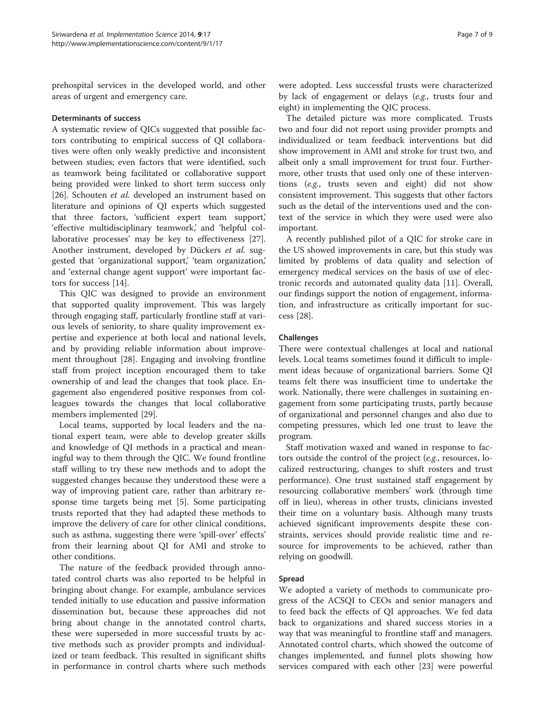prehospital services in the developed world, and other areas of urgent and emergency care.

#### Determinants of success

A systematic review of QICs suggested that possible factors contributing to empirical success of QI collaboratives were often only weakly predictive and inconsistent between studies; even factors that were identified, such as teamwork being facilitated or collaborative support being provided were linked to short term success only [[26\]](#page-8-0). Schouten et al. developed an instrument based on literature and opinions of QI experts which suggested that three factors, 'sufficient expert team support,' 'effective multidisciplinary teamwork,' and 'helpful collaborative processes' may be key to effectiveness [\[27](#page-8-0)]. Another instrument, developed by Dückers et al. suggested that 'organizational support,' 'team organization,' and 'external change agent support' were important factors for success [[14\]](#page-8-0).

This QIC was designed to provide an environment that supported quality improvement. This was largely through engaging staff, particularly frontline staff at various levels of seniority, to share quality improvement expertise and experience at both local and national levels, and by providing reliable information about improvement throughout [[28\]](#page-8-0). Engaging and involving frontline staff from project inception encouraged them to take ownership of and lead the changes that took place. Engagement also engendered positive responses from colleagues towards the changes that local collaborative members implemented [\[29\]](#page-8-0).

Local teams, supported by local leaders and the national expert team, were able to develop greater skills and knowledge of QI methods in a practical and meaningful way to them through the QIC. We found frontline staff willing to try these new methods and to adopt the suggested changes because they understood these were a way of improving patient care, rather than arbitrary response time targets being met [\[5](#page-7-0)]. Some participating trusts reported that they had adapted these methods to improve the delivery of care for other clinical conditions, such as asthma, suggesting there were 'spill-over' effects' from their learning about QI for AMI and stroke to other conditions.

The nature of the feedback provided through annotated control charts was also reported to be helpful in bringing about change. For example, ambulance services tended initially to use education and passive information dissemination but, because these approaches did not bring about change in the annotated control charts, these were superseded in more successful trusts by active methods such as provider prompts and individualized or team feedback. This resulted in significant shifts in performance in control charts where such methods

were adopted. Less successful trusts were characterized by lack of engagement or delays (e.g., trusts four and eight) in implementing the QIC process.

The detailed picture was more complicated. Trusts two and four did not report using provider prompts and individualized or team feedback interventions but did show improvement in AMI and stroke for trust two, and albeit only a small improvement for trust four. Furthermore, other trusts that used only one of these interventions (e.g., trusts seven and eight) did not show consistent improvement. This suggests that other factors such as the detail of the interventions used and the context of the service in which they were used were also important.

A recently published pilot of a QIC for stroke care in the US showed improvements in care, but this study was limited by problems of data quality and selection of emergency medical services on the basis of use of electronic records and automated quality data [[11\]](#page-7-0). Overall, our findings support the notion of engagement, information, and infrastructure as critically important for success [\[28](#page-8-0)].

#### Challenges

There were contextual challenges at local and national levels. Local teams sometimes found it difficult to implement ideas because of organizational barriers. Some QI teams felt there was insufficient time to undertake the work. Nationally, there were challenges in sustaining engagement from some participating trusts, partly because of organizational and personnel changes and also due to competing pressures, which led one trust to leave the program.

Staff motivation waxed and waned in response to factors outside the control of the project (e.g., resources, localized restructuring, changes to shift rosters and trust performance). One trust sustained staff engagement by resourcing collaborative members' work (through time off in lieu), whereas in other trusts, clinicians invested their time on a voluntary basis. Although many trusts achieved significant improvements despite these constraints, services should provide realistic time and resource for improvements to be achieved, rather than relying on goodwill.

#### Spread

We adopted a variety of methods to communicate progress of the ACSQI to CEOs and senior managers and to feed back the effects of QI approaches. We fed data back to organizations and shared success stories in a way that was meaningful to frontline staff and managers. Annotated control charts, which showed the outcome of changes implemented, and funnel plots showing how services compared with each other [\[23\]](#page-8-0) were powerful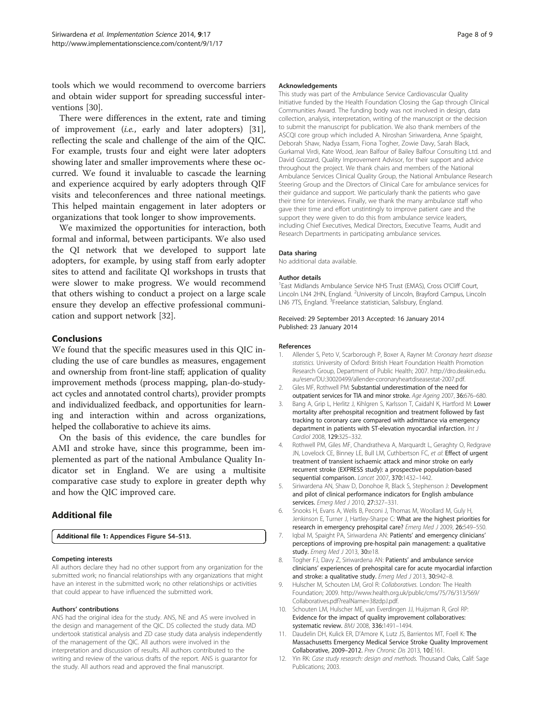<span id="page-7-0"></span>tools which we would recommend to overcome barriers and obtain wider support for spreading successful interventions [\[30\]](#page-8-0).

There were differences in the extent, rate and timing of improvement (i.e., early and later adopters) [\[31](#page-8-0)], reflecting the scale and challenge of the aim of the QIC. For example, trusts four and eight were later adopters showing later and smaller improvements where these occurred. We found it invaluable to cascade the learning and experience acquired by early adopters through QIF visits and teleconferences and three national meetings. This helped maintain engagement in later adopters or organizations that took longer to show improvements.

We maximized the opportunities for interaction, both formal and informal, between participants. We also used the QI network that we developed to support late adopters, for example, by using staff from early adopter sites to attend and facilitate QI workshops in trusts that were slower to make progress. We would recommend that others wishing to conduct a project on a large scale ensure they develop an effective professional communication and support network [[32\]](#page-8-0).

# Conclusions

We found that the specific measures used in this QIC including the use of care bundles as measures, engagement and ownership from front-line staff; application of quality improvement methods (process mapping, plan-do-studyact cycles and annotated control charts), provider prompts and individualized feedback, and opportunities for learning and interaction within and across organizations, helped the collaborative to achieve its aims.

On the basis of this evidence, the care bundles for AMI and stroke have, since this programme, been implemented as part of the national Ambulance Quality Indicator set in England. We are using a multisite comparative case study to explore in greater depth why and how the QIC improved care.

# Additional file

[Additional file 1:](http://www.biomedcentral.com/content/supplementary/1748-5908-9-17-S1.doc) Appendices Figure S4–S13.

#### Competing interests

All authors declare they had no other support from any organization for the submitted work; no financial relationships with any organizations that might have an interest in the submitted work; no other relationships or activities that could appear to have influenced the submitted work.

#### Authors' contributions

ANS had the original idea for the study. ANS, NE and AS were involved in the design and management of the QIC. DS collected the study data. MD undertook statistical analysis and ZD case study data analysis independently of the management of the QIC. All authors were involved in the interpretation and discussion of results. All authors contributed to the writing and review of the various drafts of the report. ANS is guarantor for the study. All authors read and approved the final manuscript.

#### Acknowledgements

This study was part of the Ambulance Service Cardiovascular Quality Initiative funded by the Health Foundation Closing the Gap through Clinical Communities Award. The funding body was not involved in design, data collection, analysis, interpretation, writing of the manuscript or the decision to submit the manuscript for publication. We also thank members of the ASCQI core group which included A. Niroshan Siriwardena, Anne Spaight, Deborah Shaw, Nadya Essam, Fiona Togher, Zowie Davy, Sarah Black, Gurkamal Virdi, Kate Wood, Jean Balfour of Bailey Balfour Consulting Ltd. and David Gozzard, Quality Improvement Advisor, for their support and advice throughout the project. We thank chairs and members of the National Ambulance Services Clinical Quality Group, the National Ambulance Research Steering Group and the Directors of Clinical Care for ambulance services for their guidance and support. We particularly thank the patients who gave their time for interviews. Finally, we thank the many ambulance staff who gave their time and effort unstintingly to improve patient care and the support they were given to do this from ambulance service leaders, including Chief Executives, Medical Directors, Executive Teams, Audit and Research Departments in participating ambulance services.

#### Data sharing

No additional data available.

#### Author details

1 East Midlands Ambulance Service NHS Trust (EMAS), Cross O'Cliff Court, Lincoln LN4 2HN, England. <sup>2</sup>University of Lincoln, Brayford Campus, Lincoln LN6 7TS, England. <sup>3</sup>Freelance statistician, Salisbury, England.

#### Received: 29 September 2013 Accepted: 16 January 2014 Published: 23 January 2014

#### References

- 1. Allender S, Peto V, Scarborough P, Boxer A, Rayner M: Coronary heart disease statistics. University of Oxford: British Heart Foundation Health Promotion Research Group, Department of Public Health; 2007. [http://dro.deakin.edu.](http://dro.deakin.edu.au/eserv/DU:30020499/allender-coronaryheartdiseasestat-2007.pdf) [au/eserv/DU:30020499/allender-coronaryheartdiseasestat-2007.pdf.](http://dro.deakin.edu.au/eserv/DU:30020499/allender-coronaryheartdiseasestat-2007.pdf)
- 2. Giles MF, Rothwell PM: Substantial underestimation of the need for outpatient services for TIA and minor stroke. Age Ageing 2007, 36:676–680.
- 3. Bang A, Grip L, Herlitz J, Kihlgren S, Karlsson T, Caidahl K, Hartford M: Lower mortality after prehospital recognition and treatment followed by fast tracking to coronary care compared with admittance via emergency department in patients with ST-elevation myocardial infarction. Int J Cardiol 2008, 129:325–332.
- 4. Rothwell PM, Giles MF, Chandratheva A, Marquardt L, Geraghty O, Redgrave JN, Lovelock CE, Binney LE, Bull LM, Cuthbertson FC, et al: Effect of urgent treatment of transient ischaemic attack and minor stroke on early recurrent stroke (EXPRESS study): a prospective population-based sequential comparison. Lancet 2007, 370:1432–1442.
- 5. Siriwardena AN, Shaw D, Donohoe R, Black S, Stephenson J: Development and pilot of clinical performance indicators for English ambulance services. Emerg Med J 2010, 27:327-331.
- 6. Snooks H, Evans A, Wells B, Peconi J, Thomas M, Woollard M, Guly H, Jenkinson E, Turner J, Hartley-Sharpe C: What are the highest priorities for research in emergency prehospital care? Emerg Med J 2009, 26:549–550.
- 7. Iqbal M, Spaight PA, Siriwardena AN: Patients' and emergency clinicians' perceptions of improving pre-hospital pain management: a qualitative study. Emerg Med J 2013, 30:e18.
- 8. Togher FJ, Davy Z, Siriwardena AN: Patients' and ambulance service clinicians' experiences of prehospital care for acute myocardial infarction and stroke: a qualitative study. Emerg Med J 2013, 30:942-8.
- 9. Hulscher M, Schouten LM, Grol R: Collaboratives. London: The Health Foundation; 2009. [http://www.health.org.uk/public/cms/75/76/313/569/](http://www.health.org.uk/public/cms/75/76/313/569/Collaboratives.pdf?realName=38zdpJ.pdf) [Collaboratives.pdf?realName=38zdpJ.pdf.](http://www.health.org.uk/public/cms/75/76/313/569/Collaboratives.pdf?realName=38zdpJ.pdf)
- 10. Schouten LM, Hulscher ME, van Everdingen JJ, Huijsman R, Grol RP: Evidence for the impact of quality improvement collaboratives: systematic review. BMJ 2008, 336:1491–1494.
- 11. Daudelin DH, Kulick ER, D'Amore K, Lutz JS, Barrientos MT, Foell K: The Massachusetts Emergency Medical Service Stroke Quality Improvement Collaborative, 2009–2012. Prev Chronic Dis 2013, 10:E161.
- 12. Yin RK: Case study research: design and methods. Thousand Oaks, Calif: Sage Publications; 2003.